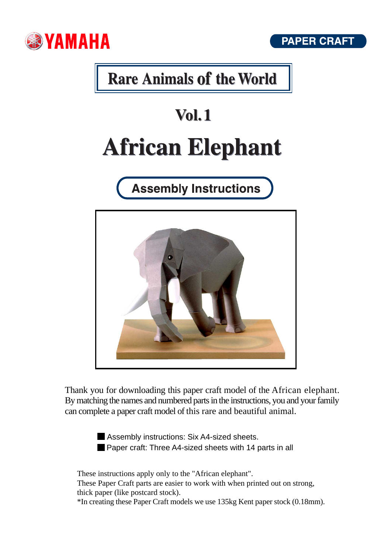



## **Rare Animals of the World**

# **Vol. 1 African Elephant**

**Assembly Instructions** 



Thank you for downloading this paper craft model of the African elephant. By matching the names and numbered parts in the instructions, you and your family can complete a paper craft model of this rare and beautiful animal.

Assembly instructions: Six A4-sized sheets. **Paper craft: Three A4-sized sheets with 14 parts in all** 

These instructions apply only to the "African elephant". These Paper Craft parts are easier to work with when printed out on strong, thick paper (like postcard stock). \*In creating these Paper Craft models we use 135kg Kent paper stock (0.18mm).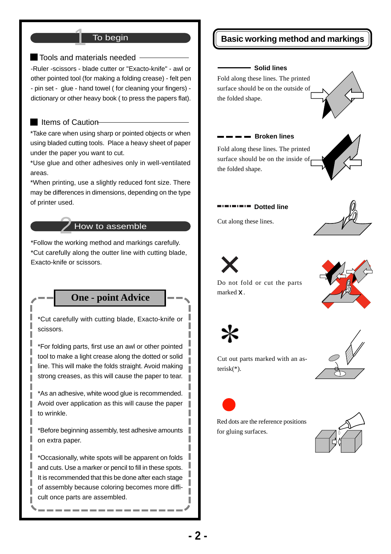#### To begin

■ Tools and materials needed -

-Ruler -scissors - blade cutter or "Exacto-knife" - awl or other pointed tool (for making a folding crease) - felt pen - pin set - glue - hand towel ( for cleaning your fingers) dictionary or other heavy book ( to press the papers flat).

#### $\blacksquare$  Items of Caution

\*Take care when using sharp or pointed objects or when using bladed cutting tools. Place a heavy sheet of paper under the paper you want to cut.

\*Use glue and other adhesives only in well-ventilated areas.

\*When printing, use a slightly reduced font size. There may be differences in dimensions, depending on the type of printer used.

#### How to assemble

\*Follow the working method and markings carefully. \*Cut carefully along the outter line with cutting blade, Exacto-knife or scissors.

#### **One - point Advice**

\*Cut carefully with cutting blade, Exacto-knife or scissors.

\*For folding parts, first use an awl or other pointed tool to make a light crease along the dotted or solid line. This will make the folds straight. Avoid making strong creases, as this will cause the paper to tear.

\*As an adhesive, white wood glue is recommended. Avoid over application as this will cause the paper to wrinkle.

\*Before beginning assembly, test adhesive amounts on extra paper.

\*Occasionally, white spots will be apparent on folds and cuts. Use a marker or pencil to fill in these spots. It is recommended that this be done after each stage of assembly because coloring becomes more difficult once parts are assembled.

#### **Basic working method and markings**

#### **Solid lines**

Fold along these lines. The printed surface should be on the outside of the folded shape.

Fold along these lines. The printed surface should be on the inside of,

**Broken lines** 





#### **Dotted line**

Cut along these lines.

the folded shape.





marked X.









Cut out parts marked with an asterisk(\*).

Do not fold or cut the parts



Red dots are the reference positions for gluing surfaces.

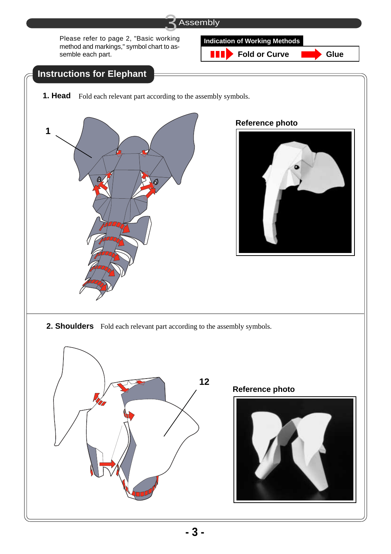

H I

Please refer to page 2, "Basic working method and markings," symbol chart to assemble each part.

### **Indication of Working Methods**

**Fold or Curve Glue** 

### **Instructions for Elephant**

**1. Head** Fold each relevant part according to the assembly symbols.



#### **Reference photo**



**2. Shoulders** Fold each relevant part according to the assembly symbols.



#### **Reference photo**

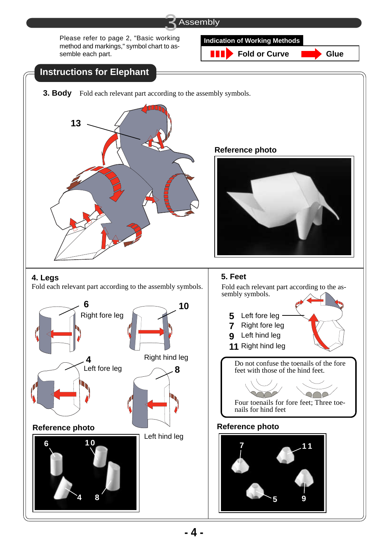Please refer to page 2, "Basic working method and markings," symbol chart to assemble each part.

#### **Indication of Working Methods**

N N **Fold or Curve Glue** 

## **Instructions for Elephant 3. Body** Fold each relevant part according to the assembly symbols.



**Reference photo**



Fold each relevant part according to the assembly symbols. Fold each relevant part according to the as-



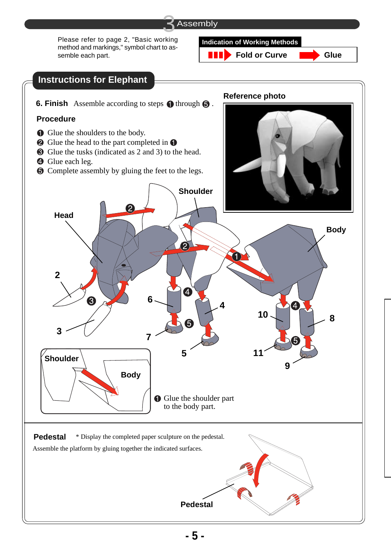

Please refer to page 2, "Basic working method and markings," symbol chart to assemble each part.



N N **Fold or Curve Glue**